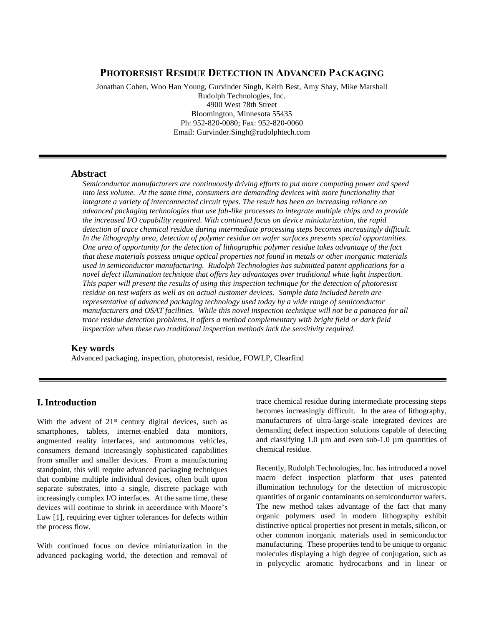# **PHOTORESIST RESIDUE DETECTION IN ADVANCED PACKAGING**

Jonathan Cohen, Woo Han Young, Gurvinder Singh, Keith Best, Amy Shay, Mike Marshall Rudolph Technologies, Inc. 4900 West 78th Street Bloomington, Minnesota 55435 Ph: 952-820-0080; Fax: 952-820-0060 Email: Gurvinder.Singh@rudolphtech.com

### **Abstract**

*Semiconductor manufacturers are continuously driving efforts to put more computing power and speed into less volume. At the same time, consumers are demanding devices with more functionality that integrate a variety of interconnected circuit types. The result has been an increasing reliance on advanced packaging technologies that use fab-like processes to integrate multiple chips and to provide the increased I/O capability required. With continued focus on device miniaturization, the rapid detection of trace chemical residue during intermediate processing steps becomes increasingly difficult. In the lithography area, detection of polymer residue on wafer surfaces presents special opportunities. One area of opportunity for the detection of lithographic polymer residue takes advantage of the fact that these materials possess unique optical properties not found in metals or other inorganic materials used in semiconductor manufacturing. Rudolph Technologies has submitted patent applications for a novel defect illumination technique that offers key advantages over traditional white light inspection. This paper will present the results of using this inspection technique for the detection of photoresist residue on test wafers as well as on actual customer devices. Sample data included herein are representative of advanced packaging technology used today by a wide range of semiconductor manufacturers and OSAT facilities. While this novel inspection technique will not be a panacea for all trace residue detection problems, it offers a method complementary with bright field or dark field inspection when these two traditional inspection methods lack the sensitivity required.* 

### **Key words**

Advanced packaging, inspection, photoresist, residue, FOWLP, Clearfind

## **I. Introduction**

With the advent of  $21<sup>st</sup>$  century digital devices, such as smartphones, tablets, internet-enabled data monitors, augmented reality interfaces, and autonomous vehicles, consumers demand increasingly sophisticated capabilities from smaller and smaller devices. From a manufacturing standpoint, this will require advanced packaging techniques that combine multiple individual devices, often built upon separate substrates, into a single, discrete package with increasingly complex I/O interfaces. At the same time, these devices will continue to shrink in accordance with Moore's Law [1], requiring ever tighter tolerances for defects within the process flow.

With continued focus on device miniaturization in the advanced packaging world, the detection and removal of trace chemical residue during intermediate processing steps becomes increasingly difficult. In the area of lithography, manufacturers of ultra-large-scale integrated devices are demanding defect inspection solutions capable of detecting and classifying 1.0 µm and even sub-1.0 µm quantities of chemical residue.

Recently, Rudolph Technologies, Inc. has introduced a novel macro defect inspection platform that uses patented illumination technology for the detection of microscopic quantities of organic contaminants on semiconductor wafers. The new method takes advantage of the fact that many organic polymers used in modern lithography exhibit distinctive optical properties not present in metals, silicon, or other common inorganic materials used in semiconductor manufacturing. These properties tend to be unique to organic molecules displaying a high degree of conjugation, such as in polycyclic aromatic hydrocarbons and in linear or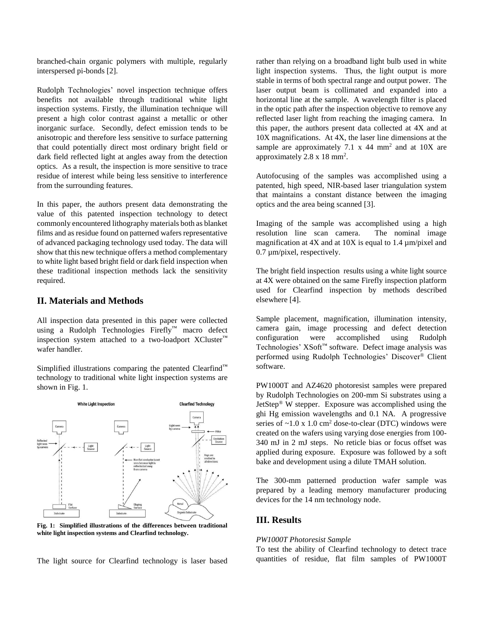branched-chain organic polymers with multiple, regularly interspersed pi-bonds [2].

Rudolph Technologies' novel inspection technique offers benefits not available through traditional white light inspection systems. Firstly, the illumination technique will present a high color contrast against a metallic or other inorganic surface. Secondly, defect emission tends to be anisotropic and therefore less sensitive to surface patterning that could potentially direct most ordinary bright field or dark field reflected light at angles away from the detection optics. As a result, the inspection is more sensitive to trace residue of interest while being less sensitive to interference from the surrounding features.

In this paper, the authors present data demonstrating the value of this patented inspection technology to detect commonly encountered lithography materials both as blanket films and as residue found on patterned wafers representative of advanced packaging technology used today. The data will show that this new technique offers a method complementary to white light based bright field or dark field inspection when these traditional inspection methods lack the sensitivity required.

### **II. Materials and Methods**

All inspection data presented in this paper were collected using a Rudolph Technologies Firefly™ macro defect inspection system attached to a two-loadport XCluster™ wafer handler.

Simplified illustrations comparing the patented Clearfind™ technology to traditional white light inspection systems are shown in Fig. 1.



**Fig. 1: Simplified illustrations of the differences between traditional white light inspection systems and Clearfind technology.**

The light source for Clearfind technology is laser based

rather than relying on a broadband light bulb used in white light inspection systems. Thus, the light output is more stable in terms of both spectral range and output power. The laser output beam is collimated and expanded into a horizontal line at the sample. A wavelength filter is placed in the optic path after the inspection objective to remove any reflected laser light from reaching the imaging camera. In this paper, the authors present data collected at 4X and at 10X magnifications. At 4X, the laser line dimensions at the sample are approximately 7.1 x 44 mm<sup>2</sup> and at  $10X$  are approximately  $2.8 \times 18 \text{ mm}^2$ .

Autofocusing of the samples was accomplished using a patented, high speed, NIR-based laser triangulation system that maintains a constant distance between the imaging optics and the area being scanned [3].

Imaging of the sample was accomplished using a high resolution line scan camera. The nominal image magnification at 4X and at 10X is equal to 1.4  $\mu$ m/pixel and 0.7 µm/pixel, respectively.

The bright field inspection results using a white light source at 4X were obtained on the same Firefly inspection platform used for Clearfind inspection by methods described elsewhere [4].

Sample placement, magnification, illumination intensity, camera gain, image processing and defect detection configuration were accomplished using Rudolph Technologies' XSoft™ software. Defect image analysis was performed using Rudolph Technologies' Discover ® Client software.

PW1000T and AZ4620 photoresist samples were prepared by Rudolph Technologies on 200-mm Si substrates using a JetStep® W stepper. Exposure was accomplished using the ghi Hg emission wavelengths and 0.1 NA. A progressive series of  $\sim$ 1.0 x 1.0 cm<sup>2</sup> dose-to-clear (DTC) windows were created on the wafers using varying dose energies from 100- 340 mJ in 2 mJ steps. No reticle bias or focus offset was applied during exposure. Exposure was followed by a soft bake and development using a dilute TMAH solution.

The 300-mm patterned production wafer sample was prepared by a leading memory manufacturer producing devices for the 14 nm technology node.

## **III. Results**

#### *PW1000T Photoresist Sample*

To test the ability of Clearfind technology to detect trace quantities of residue, flat film samples of PW1000T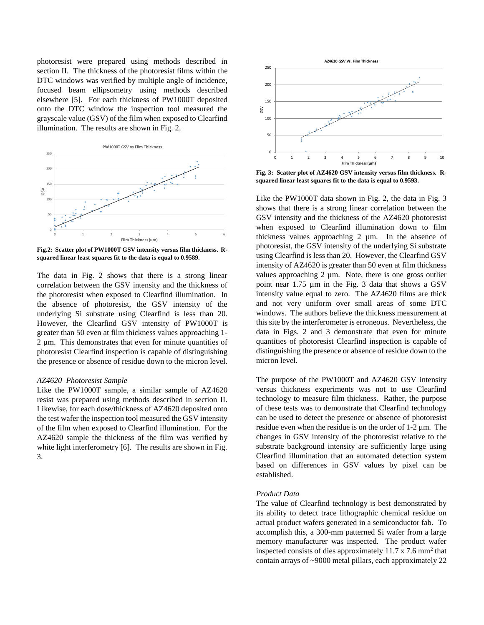photoresist were prepared using methods described in section II. The thickness of the photoresist films within the DTC windows was verified by multiple angle of incidence, focused beam ellipsometry using methods described elsewhere [5]. For each thickness of PW1000T deposited onto the DTC window the inspection tool measured the grayscale value (GSV) of the film when exposed to Clearfind illumination. The results are shown in Fig. 2.



**Fig.2: Scatter plot of PW1000T GSV intensity versus film thickness. Rsquared linear least squares fit to the data is equal to 0.9589.**

The data in Fig. 2 shows that there is a strong linear correlation between the GSV intensity and the thickness of the photoresist when exposed to Clearfind illumination. In the absence of photoresist, the GSV intensity of the underlying Si substrate using Clearfind is less than 20. However, the Clearfind GSV intensity of PW1000T is greater than 50 even at film thickness values approaching 1- 2 µm. This demonstrates that even for minute quantities of photoresist Clearfind inspection is capable of distinguishing the presence or absence of residue down to the micron level.

#### *AZ4620 Photoresist Sample*

Like the PW1000T sample, a similar sample of AZ4620 resist was prepared using methods described in section II. Likewise, for each dose/thickness of AZ4620 deposited onto the test wafer the inspection tool measured the GSV intensity of the film when exposed to Clearfind illumination. For the AZ4620 sample the thickness of the film was verified by white light interferometry [6]. The results are shown in Fig. 3.



**Fig. 3: Scatter plot of AZ4620 GSV intensity versus film thickness. Rsquared linear least squares fit to the data is equal to 0.9593.**

Like the PW1000T data shown in Fig. 2, the data in Fig. 3 shows that there is a strong linear correlation between the GSV intensity and the thickness of the AZ4620 photoresist when exposed to Clearfind illumination down to film thickness values approaching 2 µm. In the absence of photoresist, the GSV intensity of the underlying Si substrate using Clearfind is less than 20. However, the Clearfind GSV intensity of AZ4620 is greater than 50 even at film thickness values approaching  $2 \mu m$ . Note, there is one gross outlier point near 1.75 µm in the Fig. 3 data that shows a GSV intensity value equal to zero. The AZ4620 films are thick and not very uniform over small areas of some DTC windows. The authors believe the thickness measurement at this site by the interferometer is erroneous. Nevertheless, the data in Figs. 2 and 3 demonstrate that even for minute quantities of photoresist Clearfind inspection is capable of distinguishing the presence or absence of residue down to the micron level.

The purpose of the PW1000T and AZ4620 GSV intensity versus thickness experiments was not to use Clearfind technology to measure film thickness. Rather, the purpose of these tests was to demonstrate that Clearfind technology can be used to detect the presence or absence of photoresist residue even when the residue is on the order of 1-2 µm. The changes in GSV intensity of the photoresist relative to the substrate background intensity are sufficiently large using Clearfind illumination that an automated detection system based on differences in GSV values by pixel can be established.

#### *Product Data*

The value of Clearfind technology is best demonstrated by its ability to detect trace lithographic chemical residue on actual product wafers generated in a semiconductor fab. To accomplish this, a 300-mm patterned Si wafer from a large memory manufacturer was inspected. The product wafer inspected consists of dies approximately  $11.7 \times 7.6$  mm<sup>2</sup> that contain arrays of ~9000 metal pillars, each approximately 22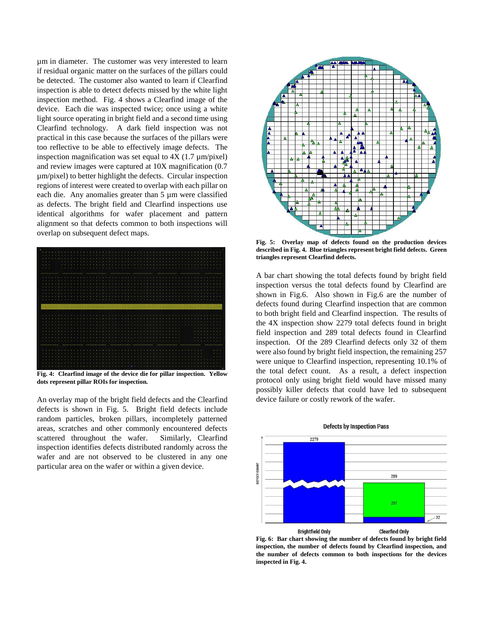µm in diameter. The customer was very interested to learn if residual organic matter on the surfaces of the pillars could be detected. The customer also wanted to learn if Clearfind inspection is able to detect defects missed by the white light inspection method. Fig. 4 shows a Clearfind image of the device. Each die was inspected twice; once using a white light source operating in bright field and a second time using Clearfind technology. A dark field inspection was not practical in this case because the surfaces of the pillars were too reflective to be able to effectively image defects. The inspection magnification was set equal to  $4X(1.7 \mu m/pixel)$ and review images were captured at 10X magnification (0.7 µm/pixel) to better highlight the defects. Circular inspection regions of interest were created to overlap with each pillar on each die. Any anomalies greater than 5 µm were classified as defects. The bright field and Clearfind inspections use identical algorithms for wafer placement and pattern alignment so that defects common to both inspections will overlap on subsequent defect maps.



**Fig. 4: Clearfind image of the device die for pillar inspection. Yellow dots represent pillar ROIs for inspection.**

An overlay map of the bright field defects and the Clearfind defects is shown in Fig. 5. Bright field defects include random particles, broken pillars, incompletely patterned areas, scratches and other commonly encountered defects scattered throughout the wafer. Similarly, Clearfind inspection identifies defects distributed randomly across the wafer and are not observed to be clustered in any one particular area on the wafer or within a given device.



**Fig. 5: Overlay map of defects found on the production devices described in Fig. 4. Blue triangles represent bright field defects. Green triangles represent Clearfind defects.**

A bar chart showing the total defects found by bright field inspection versus the total defects found by Clearfind are shown in Fig.6. Also shown in Fig.6 are the number of defects found during Clearfind inspection that are common to both bright field and Clearfind inspection. The results of the 4X inspection show 2279 total defects found in bright field inspection and 289 total defects found in Clearfind inspection. Of the 289 Clearfind defects only 32 of them were also found by bright field inspection, the remaining 257 were unique to Clearfind inspection, representing 10.1% of the total defect count. As a result, a defect inspection protocol only using bright field would have missed many possibly killer defects that could have led to subsequent device failure or costly rework of the wafer.



#### **Defects by Inspection Pass**

**Fig. 6: Bar chart showing the number of defects found by bright field inspection, the number of defects found by Clearfind inspection, and the number of defects common to both inspections for the devices inspected in Fig. 4.**